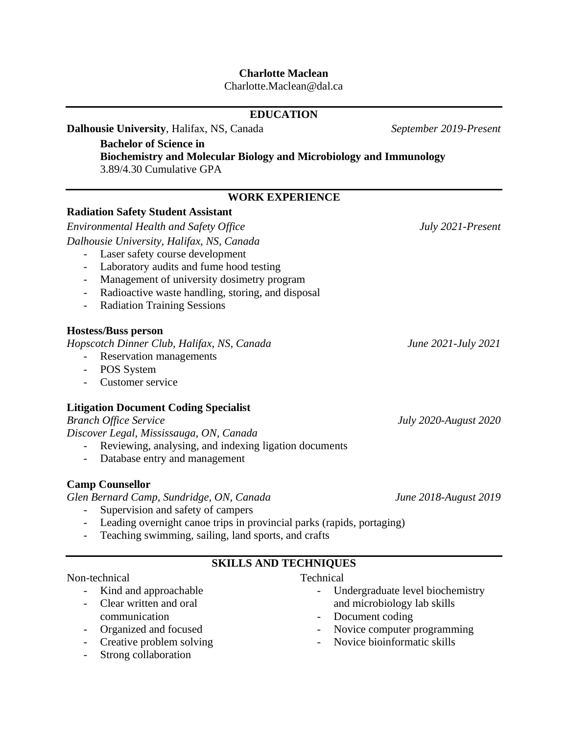## **Charlotte Maclean**

Charlotte.Maclean@dal.ca

| <b>EDUCATION</b>                                                                                      |                                  |  |
|-------------------------------------------------------------------------------------------------------|----------------------------------|--|
| Dalhousie University, Halifax, NS, Canada                                                             | September 2019-Present           |  |
| <b>Bachelor of Science in</b>                                                                         |                                  |  |
| <b>Biochemistry and Molecular Biology and Microbiology and Immunology</b><br>3.89/4.30 Cumulative GPA |                                  |  |
| <b>WORK EXPERIENCE</b>                                                                                |                                  |  |
| <b>Radiation Safety Student Assistant</b>                                                             |                                  |  |
| <b>Environmental Health and Safety Office</b>                                                         | July 2021-Present                |  |
| Dalhousie University, Halifax, NS, Canada                                                             |                                  |  |
| Laser safety course development                                                                       |                                  |  |
| Laboratory audits and fume hood testing<br>$\overline{\phantom{a}}$                                   |                                  |  |
| Management of university dosimetry program<br>$\overline{\phantom{a}}$                                |                                  |  |
| Radioactive waste handling, storing, and disposal<br>$\overline{\phantom{0}}$                         |                                  |  |
| <b>Radiation Training Sessions</b>                                                                    |                                  |  |
| <b>Hostess/Buss person</b>                                                                            |                                  |  |
| Hopscotch Dinner Club, Halifax, NS, Canada                                                            | June 2021-July 2021              |  |
| Reservation managements                                                                               |                                  |  |
| POS System<br>$\sim$ $-$                                                                              |                                  |  |
| Customer service                                                                                      |                                  |  |
| <b>Litigation Document Coding Specialist</b>                                                          |                                  |  |
| <b>Branch Office Service</b>                                                                          | <b>July 2020-August 2020</b>     |  |
| Discover Legal, Mississauga, ON, Canada                                                               |                                  |  |
| Reviewing, analysing, and indexing ligation documents                                                 |                                  |  |
| Database entry and management<br>$\sim$                                                               |                                  |  |
| <b>Camp Counsellor</b>                                                                                |                                  |  |
| Glen Bernard Camp, Sundridge, ON, Canada                                                              | June 2018-August 2019            |  |
| Supervision and safety of campers                                                                     |                                  |  |
| Leading overnight canoe trips in provincial parks (rapids, portaging)                                 |                                  |  |
| Teaching swimming, sailing, land sports, and crafts                                                   |                                  |  |
| <b>SKILLS AND TECHNIQUES</b>                                                                          |                                  |  |
| Non-technical                                                                                         | Technical                        |  |
| Kind and approachable                                                                                 | Undergraduate level biochemistry |  |

- Clear written and oral communication
- Organized and focused
- Creative problem solving
- Strong collaboration
- Undergraduate level biochemistry and microbiology lab skills
- Document coding
- Novice computer programming
- Novice bioinformatic skills